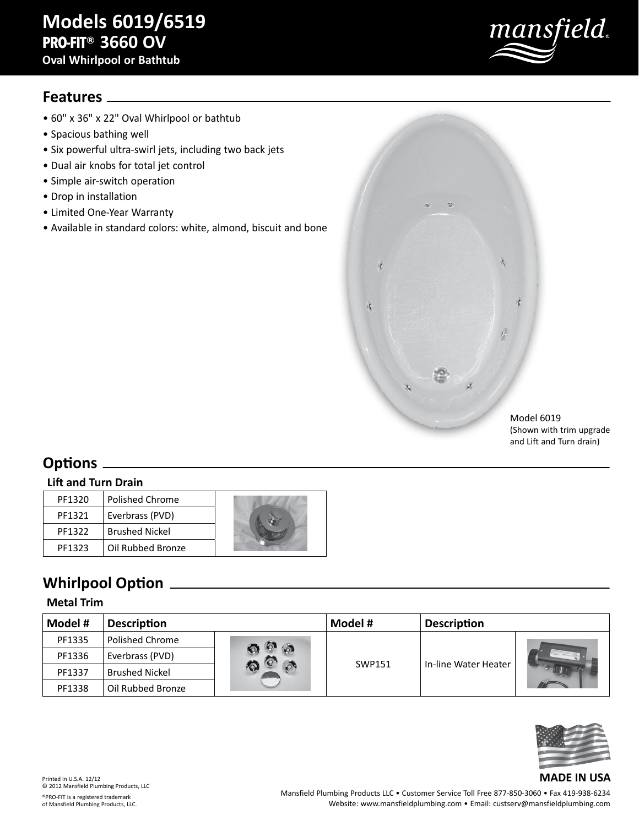# **Models 6019/6519 PRO-FIT® 3660 OV**

**Oval Whirlpool or Bathtub**

# mansfield.

# **Features**

- 60" x 36" x 22" Oval Whirlpool or bathtub
- Spacious bathing well
- Six powerful ultra-swirl jets, including two back jets
- Dual air knobs for total jet control
- Simple air-switch operation
- Drop in installation
- Limited One-Year Warranty
- Available in standard colors: white, almond, biscuit and bone



Model 6019 (Shown with trim upgrade and Lift and Turn drain)

# **Options**

#### **Lift and Turn Drain**

| PF1320 | <b>Polished Chrome</b> |  |
|--------|------------------------|--|
| PF1321 | Everbrass (PVD)        |  |
| PF1322 | <b>Brushed Nickel</b>  |  |
| PF1323 | Oil Rubbed Bronze      |  |

# **Whirlpool Option**

#### **Metal Trim**

| Model # | <b>Description</b>     |  | Model # | <b>Description</b>   |  |
|---------|------------------------|--|---------|----------------------|--|
| PF1335  | <b>Polished Chrome</b> |  |         |                      |  |
| PF1336  | Everbrass (PVD)        |  |         |                      |  |
| PF1337  | <b>Brushed Nickel</b>  |  | SWP151  | In-line Water Heater |  |
| PF1338  | Oil Rubbed Bronze      |  |         |                      |  |



#### Printed in U.S.A. 12/12 © 2012 Mansfield Plumbing Products, LLC ®PRO-FIT is a registered trademark of Mansfield Plumbing Products, LLC.

Mansfield Plumbing Products LLC • Customer Service Toll Free 877-850-3060 • Fax 419-938-6234 Website: www.mansfieldplumbing.com • Email: custserv@mansfieldplumbing.com